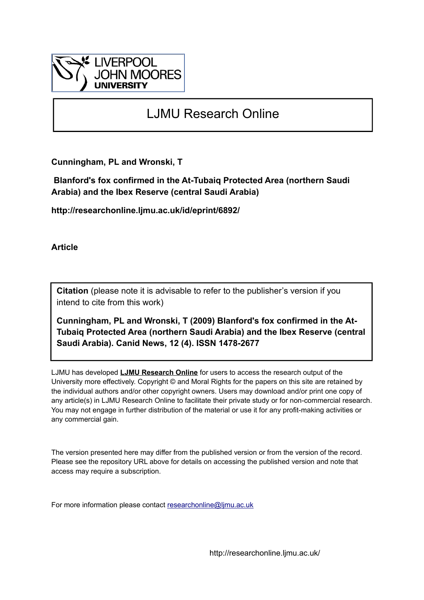

# LJMU Research Online

**Cunningham, PL and Wronski, T**

 **Blanford's fox confirmed in the At-Tubaiq Protected Area (northern Saudi Arabia) and the Ibex Reserve (central Saudi Arabia)**

**http://researchonline.ljmu.ac.uk/id/eprint/6892/**

**Article**

**Citation** (please note it is advisable to refer to the publisher's version if you intend to cite from this work)

**Cunningham, PL and Wronski, T (2009) Blanford's fox confirmed in the At-Tubaiq Protected Area (northern Saudi Arabia) and the Ibex Reserve (central Saudi Arabia). Canid News, 12 (4). ISSN 1478-2677** 

LJMU has developed **[LJMU Research Online](http://researchonline.ljmu.ac.uk/)** for users to access the research output of the University more effectively. Copyright © and Moral Rights for the papers on this site are retained by the individual authors and/or other copyright owners. Users may download and/or print one copy of any article(s) in LJMU Research Online to facilitate their private study or for non-commercial research. You may not engage in further distribution of the material or use it for any profit-making activities or any commercial gain.

The version presented here may differ from the published version or from the version of the record. Please see the repository URL above for details on accessing the published version and note that access may require a subscription.

For more information please contact [researchonline@ljmu.ac.uk](mailto:researchonline@ljmu.ac.uk)

http://researchonline.ljmu.ac.uk/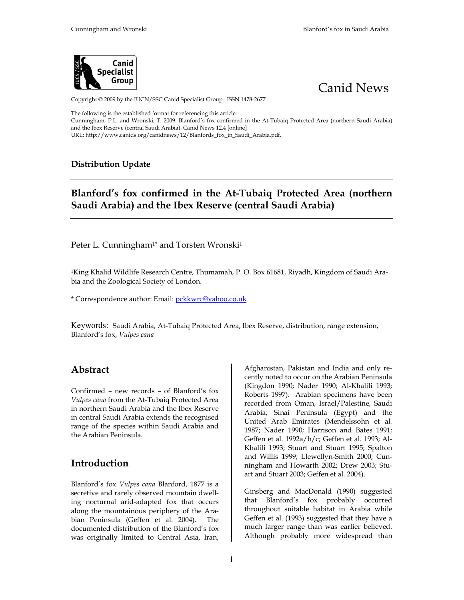



Copyright © 2009 by the IUCN/SSC Canid Specialist Group. ISSN 1478-2677

The following is the established format for referencing this article: Cunningham, P.L. and Wronski, T. 2009. Blanford's fox confirmed in the At-Tubaiq Protected Area (northern Saudi Arabia) and the Ibex Reserve (central Saudi Arabia). Canid News 12.4 [online] URL: http://www.canids.org/canidnews/12/Blanfords\_fox\_in\_Saudi\_Arabia.pdf.

### **Distribution Update**

## **Blanford's fox confirmed in the At-Tubaiq Protected Area (northern Saudi Arabia) and the Ibex Reserve (central Saudi Arabia)**

Peter L. Cunningham<sup>1\*</sup> and Torsten Wronski<sup>1</sup>

1King Khalid Wildlife Research Centre, Thumamah, P. O. Box 61681, Riyadh, Kingdom of Saudi Arabia and the Zoological Society of London.

\* Correspondence author: Email: pckkwrc@yahoo.co.uk

Keywords: Saudi Arabia, At-Tubaiq Protected Area, Ibex Reserve, distribution, range extension, Blanford's fox, *Vulpes cana*

### **Abstract**

Confirmed – new records – of Blanford's fox *Vulpes cana* from the At-Tubaiq Protected Area in northern Saudi Arabia and the Ibex Reserve in central Saudi Arabia extends the recognised range of the species within Saudi Arabia and the Arabian Peninsula.

### **Introduction**

Blanford's fox *Vulpes cana* Blanford, 1877 is a secretive and rarely observed mountain dwelling nocturnal arid-adapted fox that occurs along the mountainous periphery of the Arabian Peninsula (Geffen et al. 2004). The documented distribution of the Blanford's fox was originally limited to Central Asia, Iran,

Afghanistan, Pakistan and India and only recently noted to occur on the Arabian Peninsula (Kingdon 1990; Nader 1990; Al-Khalili 1993; Roberts 1997). Arabian specimens have been recorded from Oman, Israel/Palestine, Saudi Arabia, Sinai Peninsula (Egypt) and the United Arab Emirates (Mendelssohn et al*.* 1987; Nader 1990; Harrison and Bates 1991; Geffen et al. 1992a/b/c; Geffen et al. 1993; Al-Khalili 1993; Stuart and Stuart 1995; Spalton and Willis 1999; Llewellyn-Smith 2000; Cunningham and Howarth 2002; Drew 2003; Stuart and Stuart 2003; Geffen et al. 2004).

Ginsberg and MacDonald (1990) suggested that Blanford's fox probably occurred throughout suitable habitat in Arabia while Geffen et al. (1993) suggested that they have a much larger range than was earlier believed. Although probably more widespread than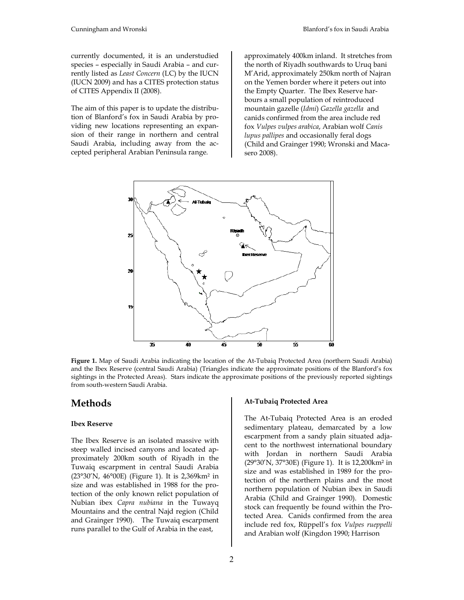currently documented, it is an understudied species – especially in Saudi Arabia – and currently listed as *Least Concern* (LC) by the IUCN (IUCN 2009) and has a CITES protection status of CITES Appendix II (2008).

The aim of this paper is to update the distribution of Blanford's fox in Saudi Arabia by providing new locations representing an expansion of their range in northern and central Saudi Arabia, including away from the accepted peripheral Arabian Peninsula range.

approximately 400km inland. It stretches from the north of Riyadh southwards to Uruq bani M'Arid, approximately 250km north of Najran on the Yemen border where it peters out into the Empty Quarter. The Ibex Reserve harbours a small population of reintroduced mountain gazelle (*Idmi*) *Gazella gazella* and canids confirmed from the area include red fox *Vulpes vulpes arabica*, Arabian wolf *Canis lupus pallipes* and occasionally feral dogs (Child and Grainger 1990; Wronski and Macasero 2008).



**Figure 1.** Map of Saudi Arabia indicating the location of the At-Tubaiq Protected Area (northern Saudi Arabia) and the Ibex Reserve (central Saudi Arabia) (Triangles indicate the approximate positions of the Blanford's fox sightings in the Protected Areas). Stars indicate the approximate positions of the previously reported sightings from south-western Saudi Arabia.

### **Methods**

#### **Ibex Reserve**

The Ibex Reserve is an isolated massive with steep walled incised canyons and located approximately 200km south of Riyadh in the Tuwaiq escarpment in central Saudi Arabia (23°30'N, 46°00E) (Figure 1). It is 2,369km² in size and was established in 1988 for the protection of the only known relict population of Nubian ibex *Capra nubiana* in the Tuwayq Mountains and the central Najd region (Child and Grainger 1990). The Tuwaiq escarpment runs parallel to the Gulf of Arabia in the east,

#### **At-Tubaiq Protected Area**

The At-Tubaiq Protected Area is an eroded sedimentary plateau, demarcated by a low escarpment from a sandy plain situated adjacent to the northwest international boundary with Jordan in northern Saudi Arabia (29°30'N, 37°30E) (Figure 1). It is 12,200km² in size and was established in 1989 for the protection of the northern plains and the most northern population of Nubian ibex in Saudi Arabia (Child and Grainger 1990). Domestic stock can frequently be found within the Protected Area. Canids confirmed from the area include red fox, Rüppell's fox *Vulpes rueppelli* and Arabian wolf (Kingdon 1990; Harrison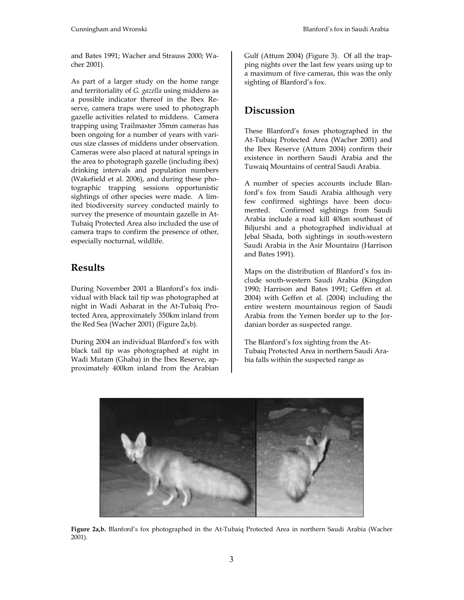and Bates 1991; Wacher and Strauss 2000; Wacher 2001).

As part of a larger study on the home range and territoriality of *G. gazella* using middens as a possible indicator thereof in the Ibex Reserve, camera traps were used to photograph gazelle activities related to middens. Camera trapping using Trailmaster 35mm cameras has been ongoing for a number of years with various size classes of middens under observation. Cameras were also placed at natural springs in the area to photograph gazelle (including ibex) drinking intervals and population numbers (Wakefield et al. 2006), and during these photographic trapping sessions opportunistic sightings of other species were made. A limited biodiversity survey conducted mainly to survey the presence of mountain gazelle in At-Tubaiq Protected Area also included the use of camera traps to confirm the presence of other, especially nocturnal, wildlife.

### **Results**

During November 2001 a Blanford's fox individual with black tail tip was photographed at night in Wadi Asharat in the At-Tubaiq Protected Area, approximately 350km inland from the Red Sea (Wacher 2001) (Figure 2a,b).

During 2004 an individual Blanford's fox with black tail tip was photographed at night in Wadi Mutam (Ghaba) in the Ibex Reserve, approximately 400km inland from the Arabian

Gulf (Attum 2004) (Figure 3). Of all the trapping nights over the last few years using up to a maximum of five cameras, this was the only sighting of Blanford's fox.

# **Discussion**

These Blanford's foxes photographed in the At-Tubaiq Protected Area (Wacher 2001) and the Ibex Reserve (Attum 2004) confirm their existence in northern Saudi Arabia and the Tuwaiq Mountains of central Saudi Arabia.

A number of species accounts include Blanford's fox from Saudi Arabia although very few confirmed sightings have been documented. Confirmed sightings from Saudi Arabia include a road kill 40km southeast of Biljurshi and a photographed individual at Jebal Shada, both sightings in south-western Saudi Arabia in the Asir Mountains (Harrison and Bates 1991).

Maps on the distribution of Blanford's fox include south-western Saudi Arabia (Kingdon 1990; Harrison and Bates 1991; Geffen et al. 2004) with Geffen et al. (2004) including the entire western mountainous region of Saudi Arabia from the Yemen border up to the Jordanian border as suspected range.

The Blanford's fox sighting from the At-Tubaiq Protected Area in northern Saudi Arabia falls within the suspected range as



**Figure 2a,b.** Blanford's fox photographed in the At-Tubaiq Protected Area in northern Saudi Arabia (Wacher 2001).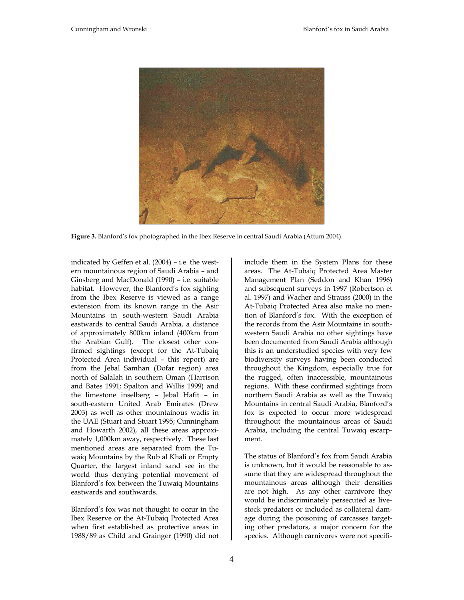

**Figure 3.** Blanford's fox photographed in the Ibex Reserve in central Saudi Arabia (Attum 2004).

indicated by Geffen et al. (2004) – i.e. the western mountainous region of Saudi Arabia – and Ginsberg and MacDonald (1990) – i.e. suitable habitat. However, the Blanford's fox sighting from the Ibex Reserve is viewed as a range extension from its known range in the Asir Mountains in south-western Saudi Arabia eastwards to central Saudi Arabia, a distance of approximately 800km inland (400km from the Arabian Gulf). The closest other confirmed sightings (except for the At-Tubaiq Protected Area individual – this report) are from the Jebal Samhan (Dofar region) area north of Salalah in southern Oman (Harrison and Bates 1991; Spalton and Willis 1999) and the limestone inselberg – Jebal Hafit – in south-eastern United Arab Emirates (Drew 2003) as well as other mountainous wadis in the UAE (Stuart and Stuart 1995; Cunningham and Howarth 2002), all these areas approximately 1,000km away, respectively. These last mentioned areas are separated from the Tuwaiq Mountains by the Rub al Khali or Empty Quarter, the largest inland sand see in the world thus denying potential movement of Blanford's fox between the Tuwaiq Mountains eastwards and southwards.

Blanford's fox was not thought to occur in the Ibex Reserve or the At-Tubaiq Protected Area when first established as protective areas in 1988/89 as Child and Grainger (1990) did not

4

include them in the System Plans for these areas. The At-Tubaiq Protected Area Master Management Plan (Seddon and Khan 1996) and subsequent surveys in 1997 (Robertson et al. 1997) and Wacher and Strauss (2000) in the At-Tubaiq Protected Area also make no mention of Blanford's fox. With the exception of the records from the Asir Mountains in southwestern Saudi Arabia no other sightings have been documented from Saudi Arabia although this is an understudied species with very few biodiversity surveys having been conducted throughout the Kingdom, especially true for the rugged, often inaccessible, mountainous regions. With these confirmed sightings from northern Saudi Arabia as well as the Tuwaiq Mountains in central Saudi Arabia, Blanford's fox is expected to occur more widespread throughout the mountainous areas of Saudi Arabia, including the central Tuwaiq escarpment.

The status of Blanford's fox from Saudi Arabia is unknown, but it would be reasonable to assume that they are widespread throughout the mountainous areas although their densities are not high. As any other carnivore they would be indiscriminately persecuted as livestock predators or included as collateral damage during the poisoning of carcasses targeting other predators, a major concern for the species. Although carnivores were not specifi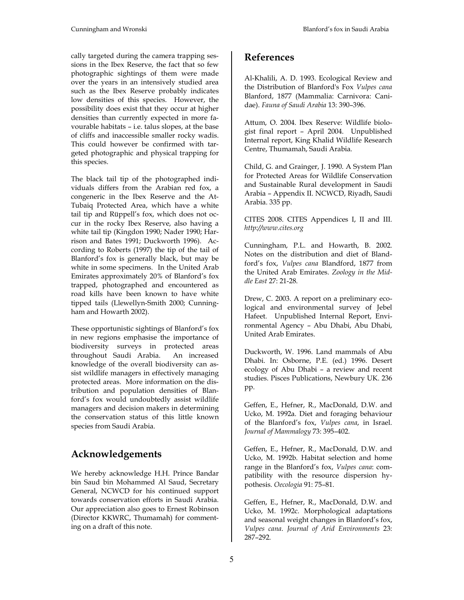cally targeted during the camera trapping sessions in the Ibex Reserve, the fact that so few photographic sightings of them were made over the years in an intensively studied area such as the Ibex Reserve probably indicates low densities of this species. However, the possibility does exist that they occur at higher densities than currently expected in more favourable habitats – i.e. talus slopes, at the base of cliffs and inaccessible smaller rocky wadis. This could however be confirmed with targeted photographic and physical trapping for this species.

The black tail tip of the photographed individuals differs from the Arabian red fox, a congeneric in the Ibex Reserve and the At-Tubaiq Protected Area, which have a white tail tip and Rüppell's fox, which does not occur in the rocky Ibex Reserve, also having a white tail tip (Kingdon 1990; Nader 1990; Harrison and Bates 1991; Duckworth 1996). According to Roberts (1997) the tip of the tail of Blanford's fox is generally black, but may be white in some specimens. In the United Arab Emirates approximately 20% of Blanford's fox trapped, photographed and encountered as road kills have been known to have white tipped tails (Llewellyn-Smith 2000; Cunningham and Howarth 2002).

These opportunistic sightings of Blanford's fox in new regions emphasise the importance of biodiversity surveys in protected areas throughout Saudi Arabia. An increased knowledge of the overall biodiversity can assist wildlife managers in effectively managing protected areas. More information on the distribution and population densities of Blanford's fox would undoubtedly assist wildlife managers and decision makers in determining the conservation status of this little known species from Saudi Arabia.

### **Acknowledgements**

We hereby acknowledge H.H. Prince Bandar bin Saud bin Mohammed Al Saud, Secretary General, NCWCD for his continued support towards conservation efforts in Saudi Arabia. Our appreciation also goes to Ernest Robinson (Director KKWRC, Thumamah) for commenting on a draft of this note.

### **References**

Al-Khalili, A. D. 1993. Ecological Review and the Distribution of Blanford's Fox *Vulpes cana*  Blanford, 1877 (Mammalia: Carnivora: Canidae). *Fauna of Saudi Arabia* 13: 390–396.

Attum, O. 2004. Ibex Reserve: Wildlife biologist final report – April 2004. Unpublished Internal report, King Khalid Wildlife Research Centre, Thumamah, Saudi Arabia.

Child, G. and Grainger, J. 1990. A System Plan for Protected Areas for Wildlife Conservation and Sustainable Rural development in Saudi Arabia – Appendix II. NCWCD, Riyadh, Saudi Arabia. 335 pp.

CITES 2008. CITES Appendices I, II and III. *http://www.cites.org*

Cunningham, P.L. and Howarth, B. 2002. Notes on the distribution and diet of Blandford's fox, *Vulpes cana* Blandford, 1877 from the United Arab Emirates. *Zoology in the Middle East* 27: 21-28.

Drew, C. 2003. A report on a preliminary ecological and environmental survey of Jebel Hafeet. Unpublished Internal Report, Environmental Agency – Abu Dhabi, Abu Dhabi, United Arab Emirates.

Duckworth, W. 1996. Land mammals of Abu Dhabi. In: Osborne, P.E. (ed.) 1996. Desert ecology of Abu Dhabi – a review and recent studies. Pisces Publications, Newbury UK. 236 pp.

Geffen, E., Hefner, R., MacDonald, D.W. and Ucko, M. 1992a. Diet and foraging behaviour of the Blanford's fox, *Vulpes cana*, in Israel. *Journal of Mammalogy* 73: 395–402.

Geffen, E., Hefner, R., MacDonald, D.W. and Ucko, M. 1992b. Habitat selection and home range in the Blanford's fox, *Vulpes cana*: compatibility with the resource dispersion hypothesis. *Oecologia* 91: 75–81.

Geffen, E., Hefner, R., MacDonald, D.W. and Ucko, M. 1992c. Morphological adaptations and seasonal weight changes in Blanford's fox, *Vulpes cana*. *Journal of Arid Environments* 23: 287–292.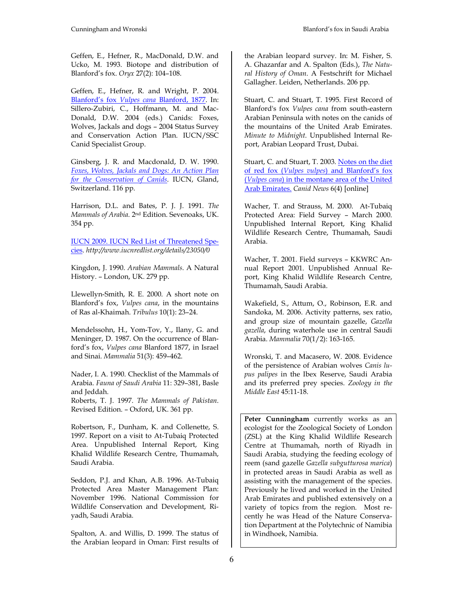Geffen, E., Hefner, R., MacDonald, D.W. and Ucko, M. 1993. Biotope and distribution of Blanford's fox. *Oryx* 27(2): 104–108.

Geffen, E., Hefner, R. and Wright, P. 2004. Blanford's fox *Vulpes cana* Blanford, 1877. In: Sillero-Zubiri, C., Hoffmann, M. and Mac-Donald, D.W. 2004 (eds.) Canids: Foxes, Wolves, Jackals and dogs – 2004 Status Survey and Conservation Action Plan. IUCN/SSC Canid Specialist Group.

Ginsberg, J. R. and Macdonald, D. W. 1990. *Foxes, Wolves, Jackals and Dogs: An Action Plan for the Conservation of Canids*. IUCN, Gland, Switzerland. 116 pp.

Harrison, D.L. and Bates, P. J. J. 1991. *The Mammals of Arabia*. 2nd Edition. Sevenoaks, UK. 354 pp.

IUCN 2009. IUCN Red List of Threatened Species. *http://www.iucnredlist.org/details/23050/0*

Kingdon, J. 1990. *Arabian Mammals*. A Natural History. – London, UK. 279 pp.

Llewellyn-Smith, R. E. 2000. A short note on Blanford's fox, *Vulpes cana*, in the mountains of Ras al-Khaimah. *Tribulus* 10(1): 23–24.

Mendelssohn, H., Yom-Tov, Y., Ilany, G. and Meninger, D. 1987. On the occurrence of Blanford's fox, *Vulpes cana* Blanford 1877, in Israel and Sinai. *Mammalia* 51(3): 459–462.

Nader, I. A. 1990. Checklist of the Mammals of Arabia. *Fauna of Saudi Arabia* 11: 329–381, Basle and Jeddah.

Roberts, T. J. 1997. *The Mammals of Pakistan*. Revised Edition. – Oxford, UK. 361 pp.

Robertson, F., Dunham, K. and Collenette, S. 1997. Report on a visit to At-Tubaiq Protected Area. Unpublished Internal Report, King Khalid Wildlife Research Centre, Thumamah, Saudi Arabia.

Seddon, P.J. and Khan, A.B. 1996. At-Tubaiq Protected Area Master Management Plan: November 1996. National Commission for Wildlife Conservation and Development, Riyadh, Saudi Arabia.

Spalton, A. and Willis, D. 1999. The status of the Arabian leopard in Oman: First results of the Arabian leopard survey. In: M. Fisher, S. A. Ghazanfar and A. Spalton (Eds.), *The Natural History of Oman*. A Festschrift for Michael Gallagher. Leiden, Netherlands. 206 pp.

Stuart, C. and Stuart, T. 1995. First Record of Blanford's fox *Vulpes cana* from south-eastern Arabian Peninsula with notes on the canids of the mountains of the United Arab Emirates. *Minute to Midnight*. Unpublished Internal Report, Arabian Leopard Trust, Dubai.

Stuart, C. and Stuart, T. 2003. Notes on the diet of red fox (*Vulpes vulpes*) and Blanford's fox (*Vulpes cana*) in the montane area of the United Arab Emirates. *Canid News* 6(4) [online]

Wacher, T. and Strauss, M. 2000. At-Tubaiq Protected Area: Field Survey – March 2000. Unpublished Internal Report, King Khalid Wildlife Research Centre, Thumamah, Saudi Arabia.

Wacher, T. 2001. Field surveys – KKWRC Annual Report 2001. Unpublished Annual Report, King Khalid Wildlife Research Centre, Thumamah, Saudi Arabia.

Wakefield, S., Attum, O., Robinson, E.R. and Sandoka, M. 2006. Activity patterns, sex ratio, and group size of mountain gazelle, *Gazella gazella*, during waterhole use in central Saudi Arabia. *Mammalia* 70(1/2): 163-165.

Wronski, T. and Macasero, W. 2008. Evidence of the persistence of Arabian wolves *Canis lupus palipes* in the Ibex Reserve, Saudi Arabia and its preferred prey species. *Zoology in the Middle East* 45:11-18.

Peter Cunningham currently works as an ecologist for the Zoological Society of London (ZSL) at the King Khalid Wildlife Research Centre at Thumamah, north of Riyadh in Saudi Arabia, studying the feeding ecology of reem (sand gazelle *Gazella subgutturosa marica*) in protected areas in Saudi Arabia as well as assisting with the management of the species. Previously he lived and worked in the United Arab Emirates and published extensively on a variety of topics from the region. Most recently he was Head of the Nature Conservation Department at the Polytechnic of Namibia in Windhoek, Namibia.